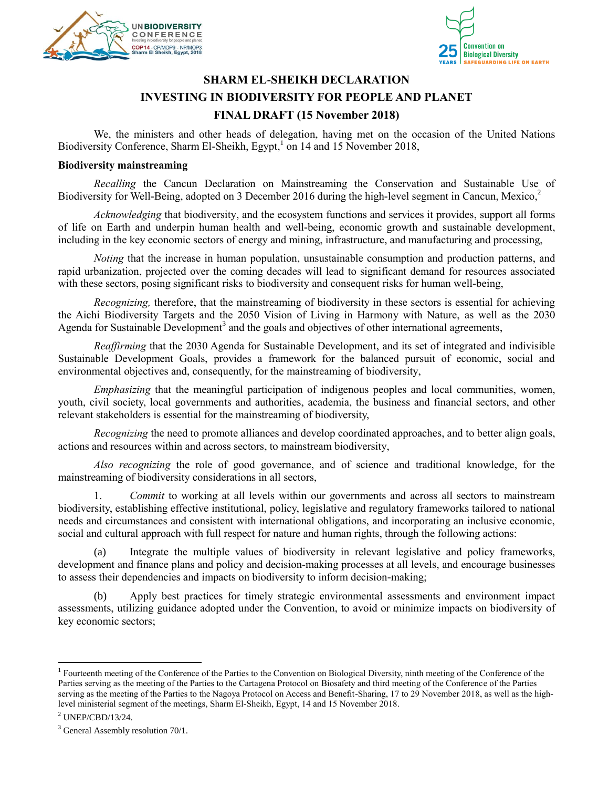



## **SHARM EL-SHEIKH DECLARATION INVESTING IN BIODIVERSITY FOR PEOPLE AND PLANET FINAL DRAFT (15 November 2018)**

We, the ministers and other heads of delegation, having met on the occasion of the United Nations Biodiversity Conference, Sharm El-Sheikh, Egypt,<sup>1</sup> on 14 and 15 November 2018,

## **Biodiversity mainstreaming**

*Recalling* the Cancun Declaration on Mainstreaming the Conservation and Sustainable Use of Biodiversity for Well-Being, adopted on 3 December 2016 during the high-level segment in Cancun, Mexico,<sup>2</sup>

*Acknowledging* that biodiversity, and the ecosystem functions and services it provides, support all forms of life on Earth and underpin human health and well-being, economic growth and sustainable development, including in the key economic sectors of energy and mining, infrastructure, and manufacturing and processing,

*Noting* that the increase in human population, unsustainable consumption and production patterns, and rapid urbanization, projected over the coming decades will lead to significant demand for resources associated with these sectors, posing significant risks to biodiversity and consequent risks for human well-being,

*Recognizing,* therefore, that the mainstreaming of biodiversity in these sectors is essential for achieving the Aichi Biodiversity Targets and the 2050 Vision of Living in Harmony with Nature, as well as the 2030 Agenda for Sustainable Development<sup>3</sup> and the goals and objectives of other international agreements,

*Reaffirming* that the 2030 Agenda for Sustainable Development, and its set of integrated and indivisible Sustainable Development Goals, provides a framework for the balanced pursuit of economic, social and environmental objectives and, consequently, for the mainstreaming of biodiversity,

*Emphasizing* that the meaningful participation of indigenous peoples and local communities, women, youth, civil society, local governments and authorities, academia, the business and financial sectors, and other relevant stakeholders is essential for the mainstreaming of biodiversity,

*Recognizing* the need to promote alliances and develop coordinated approaches, and to better align goals, actions and resources within and across sectors, to mainstream biodiversity,

*Also recognizing* the role of good governance, and of science and traditional knowledge, for the mainstreaming of biodiversity considerations in all sectors,

1. *Commit* to working at all levels within our governments and across all sectors to mainstream biodiversity, establishing effective institutional, policy, legislative and regulatory frameworks tailored to national needs and circumstances and consistent with international obligations, and incorporating an inclusive economic, social and cultural approach with full respect for nature and human rights, through the following actions:

(a) Integrate the multiple values of biodiversity in relevant legislative and policy frameworks, development and finance plans and policy and decision-making processes at all levels, and encourage businesses to assess their dependencies and impacts on biodiversity to inform decision-making;

(b) Apply best practices for timely strategic environmental assessments and environment impact assessments, utilizing guidance adopted under the Convention, to avoid or minimize impacts on biodiversity of key economic sectors;

 $\overline{a}$ 

<sup>&</sup>lt;sup>1</sup> Fourteenth meeting of the Conference of the Parties to the Convention on Biological Diversity, ninth meeting of the Conference of the Parties serving as the meeting of the Parties to the Cartagena Protocol on Biosafety and third meeting of the Conference of the Parties serving as the meeting of the Parties to the Nagoya Protocol on Access and Benefit-Sharing, 17 to 29 November 2018, as well as the highlevel ministerial segment of the meetings, Sharm El-Sheikh, Egypt, 14 and 15 November 2018.

<sup>2</sup> UNEP/CBD/13/24.

 $3$  General Assembly resolution 70/1.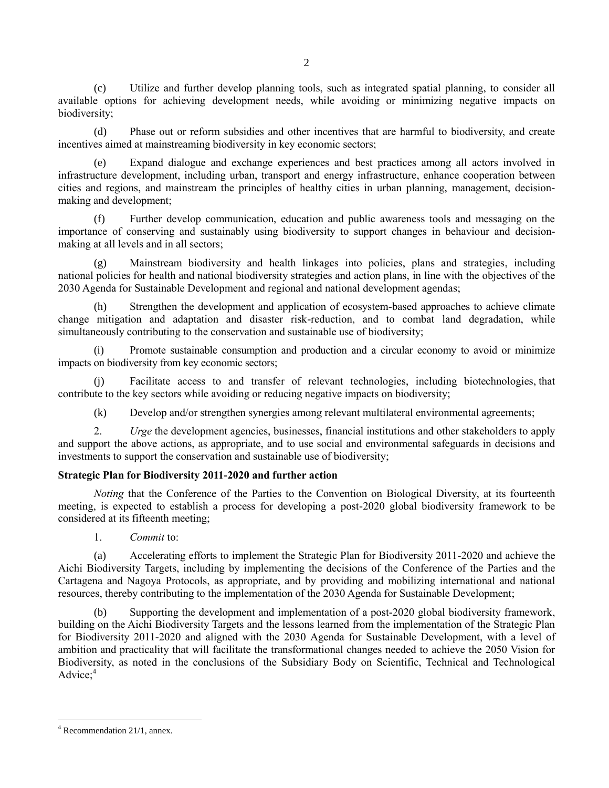(c) Utilize and further develop planning tools, such as integrated spatial planning, to consider all available options for achieving development needs, while avoiding or minimizing negative impacts on biodiversity;

(d) Phase out or reform subsidies and other incentives that are harmful to biodiversity, and create incentives aimed at mainstreaming biodiversity in key economic sectors;

(e) Expand dialogue and exchange experiences and best practices among all actors involved in infrastructure development, including urban, transport and energy infrastructure, enhance cooperation between cities and regions, and mainstream the principles of healthy cities in urban planning, management, decisionmaking and development;

(f) Further develop communication, education and public awareness tools and messaging on the importance of conserving and sustainably using biodiversity to support changes in behaviour and decisionmaking at all levels and in all sectors;

(g) Mainstream biodiversity and health linkages into policies, plans and strategies, including national policies for health and national biodiversity strategies and action plans, in line with the objectives of the 2030 Agenda for Sustainable Development and regional and national development agendas;

Strengthen the development and application of ecosystem-based approaches to achieve climate change mitigation and adaptation and disaster risk-reduction, and to combat land degradation, while simultaneously contributing to the conservation and sustainable use of biodiversity;

Promote sustainable consumption and production and a circular economy to avoid or minimize impacts on biodiversity from key economic sectors;

(j) Facilitate access to and transfer of relevant technologies, including biotechnologies, that contribute to the key sectors while avoiding or reducing negative impacts on biodiversity;

(k) Develop and/or strengthen synergies among relevant multilateral environmental agreements;

2. *Urge* the development agencies, businesses, financial institutions and other stakeholders to apply and support the above actions, as appropriate, and to use social and environmental safeguards in decisions and investments to support the conservation and sustainable use of biodiversity;

## **Strategic Plan for Biodiversity 2011-2020 and further action**

*Noting* that the Conference of the Parties to the Convention on Biological Diversity, at its fourteenth meeting, is expected to establish a process for developing a post-2020 global biodiversity framework to be considered at its fifteenth meeting;

1. *Commit* to:

(a) Accelerating efforts to implement the Strategic Plan for Biodiversity 2011-2020 and achieve the Aichi Biodiversity Targets, including by implementing the decisions of the Conference of the Parties and the Cartagena and Nagoya Protocols, as appropriate, and by providing and mobilizing international and national resources, thereby contributing to the implementation of the 2030 Agenda for Sustainable Development;

(b) Supporting the development and implementation of a post-2020 global biodiversity framework, building on the Aichi Biodiversity Targets and the lessons learned from the implementation of the Strategic Plan for Biodiversity 2011-2020 and aligned with the 2030 Agenda for Sustainable Development, with a level of ambition and practicality that will facilitate the transformational changes needed to achieve the 2050 Vision for Biodiversity, as noted in the conclusions of the Subsidiary Body on Scientific, Technical and Technological  $\text{Advice:}^4$ 

 $\overline{a}$ <sup>4</sup> Recommendation 21/1, annex.